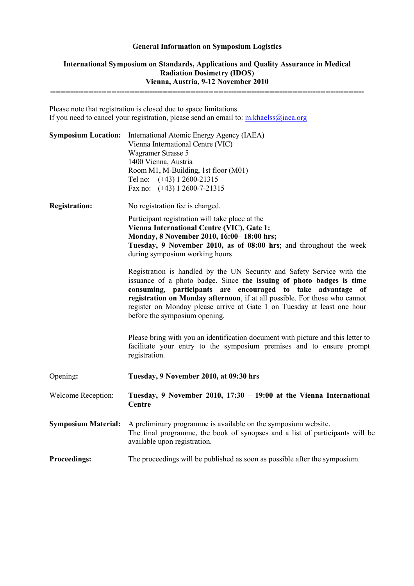## **General Information on Symposium Logistics**

## **International Symposium on Standards, Applications and Quality Assurance in Medical Radiation Dosimetry (IDOS) Vienna, Austria, 9-12 November 2010 ---------------------------------------------------------------------------------------------------------------------------**

Please note that registration is closed due to space limitations. If you need to cancel your registration, please send an email to: m.khaelss@iaea.org

| <b>Symposium Location:</b> | International Atomic Energy Agency (IAEA)<br>Vienna International Centre (VIC)<br>Wagramer Strasse 5<br>1400 Vienna, Austria<br>Room M1, M-Building, 1st floor (M01)<br>Tel no: (+43) 1 2600-21315<br>Fax no: $(+43)$ 1 2600-7-21315                                                                                                                                                                    |
|----------------------------|---------------------------------------------------------------------------------------------------------------------------------------------------------------------------------------------------------------------------------------------------------------------------------------------------------------------------------------------------------------------------------------------------------|
| <b>Registration:</b>       | No registration fee is charged.                                                                                                                                                                                                                                                                                                                                                                         |
|                            | Participant registration will take place at the<br>Vienna International Centre (VIC), Gate 1:<br>Monday, 8 November 2010, 16:00-18:00 hrs;<br>Tuesday, 9 November 2010, as of 08:00 hrs; and throughout the week<br>during symposium working hours                                                                                                                                                      |
|                            | Registration is handled by the UN Security and Safety Service with the<br>issuance of a photo badge. Since the issuing of photo badges is time<br>consuming, participants are encouraged to take advantage of<br>registration on Monday afternoon, if at all possible. For those who cannot<br>register on Monday please arrive at Gate 1 on Tuesday at least one hour<br>before the symposium opening. |
|                            | Please bring with you an identification document with picture and this letter to<br>facilitate your entry to the symposium premises and to ensure prompt<br>registration.                                                                                                                                                                                                                               |
| Opening:                   | Tuesday, 9 November 2010, at 09:30 hrs                                                                                                                                                                                                                                                                                                                                                                  |
| Welcome Reception:         | Tuesday, 9 November 2010, 17:30 - 19:00 at the Vienna International<br>Centre                                                                                                                                                                                                                                                                                                                           |
| <b>Symposium Material:</b> | A preliminary programme is available on the symposium website.<br>The final programme, the book of synopses and a list of participants will be<br>available upon registration.                                                                                                                                                                                                                          |
| <b>Proceedings:</b>        | The proceedings will be published as soon as possible after the symposium.                                                                                                                                                                                                                                                                                                                              |